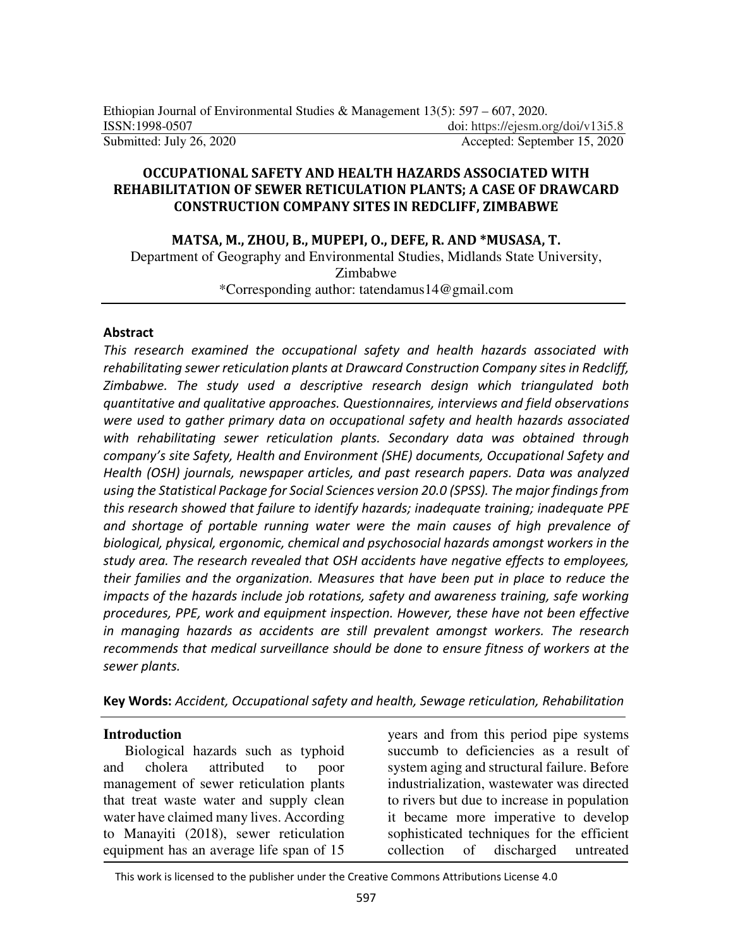## **OCCUPATIONAL SAFETY AND HEALTH HAZARDS ASSOCIATED WITH REHABILITATION OF SEWER RETICULATION PLANTS; A CASE OF DRAWCARD CONSTRUCTION COMPANY SITES IN REDCLIFF, ZIMBABWE**

#### **MATSA, M., ZHOU, B., MUPEPI, O., DEFE, R. AND \*MUSASA, T.**

Department of Geography and Environmental Studies, Midlands State University, Zimbabwe \*Corresponding author: tatendamus14@gmail.com

### **Abstract**

*This research examined the occupational safety and health hazards associated with rehabilitating sewer reticulation plants at Drawcard Construction Company sites in Redcliff, Zimbabwe. The study used a descriptive research design which triangulated both quantitative and qualitative approaches. Questionnaires, interviews and field observations were used to gather primary data on occupational safety and health hazards associated with rehabilitating sewer reticulation plants. Secondary data was obtained through company's site Safety, Health and Environment (SHE) documents, Occupational Safety and Health (OSH) journals, newspaper articles, and past research papers. Data was analyzed using the Statistical Package for Social Sciences version 20.0 (SPSS). The major findings from this research showed that failure to identify hazards; inadequate training; inadequate PPE and shortage of portable running water were the main causes of high prevalence of biological, physical, ergonomic, chemical and psychosocial hazards amongst workers in the study area. The research revealed that OSH accidents have negative effects to employees, their families and the organization. Measures that have been put in place to reduce the impacts of the hazards include job rotations, safety and awareness training, safe working procedures, PPE, work and equipment inspection. However, these have not been effective in managing hazards as accidents are still prevalent amongst workers. The research recommends that medical surveillance should be done to ensure fitness of workers at the sewer plants.* 

**Key Words:** *Accident, Occupational safety and health, Sewage reticulation, Rehabilitation* 

#### **Introduction**

Biological hazards such as typhoid and cholera attributed to poor management of sewer reticulation plants that treat waste water and supply clean water have claimed many lives. According to Manayiti (2018), sewer reticulation equipment has an average life span of 15

years and from this period pipe systems succumb to deficiencies as a result of system aging and structural failure. Before industrialization, wastewater was directed to rivers but due to increase in population it became more imperative to develop sophisticated techniques for the efficient collection of discharged untreated

This work is licensed to the publisher under the Creative Commons Attributions License 4.0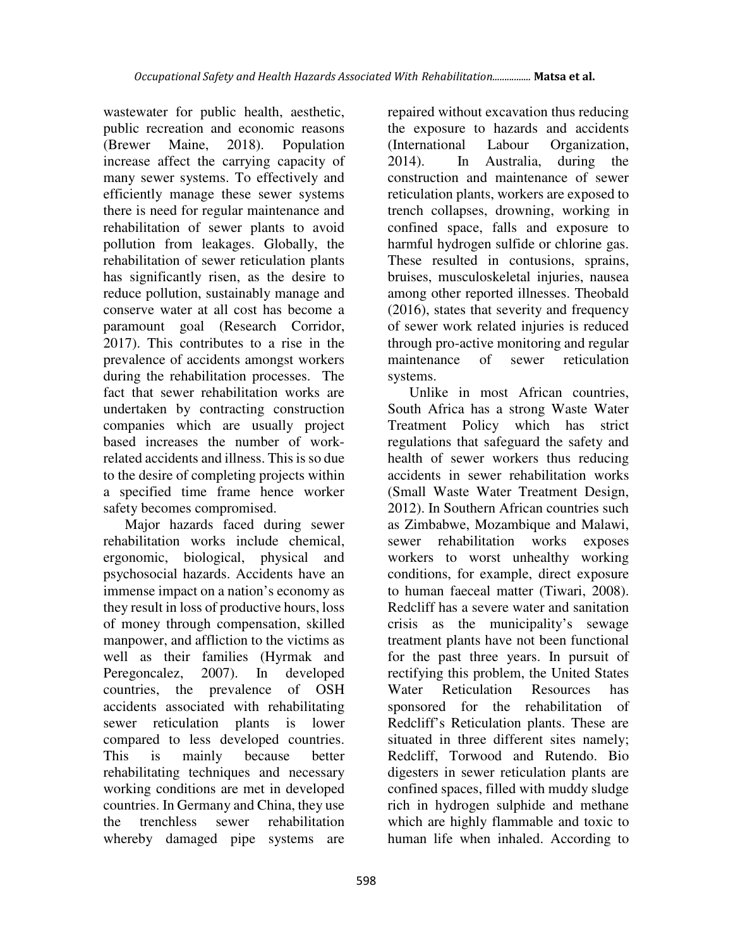wastewater for public health, aesthetic, public recreation and economic reasons (Brewer Maine, 2018). Population increase affect the carrying capacity of many sewer systems. To effectively and efficiently manage these sewer systems there is need for regular maintenance and rehabilitation of sewer plants to avoid pollution from leakages. Globally, the rehabilitation of sewer reticulation plants has significantly risen, as the desire to reduce pollution, sustainably manage and conserve water at all cost has become a paramount goal (Research Corridor, 2017). This contributes to a rise in the prevalence of accidents amongst workers during the rehabilitation processes. The fact that sewer rehabilitation works are undertaken by contracting construction companies which are usually project based increases the number of workrelated accidents and illness. This is so due to the desire of completing projects within a specified time frame hence worker safety becomes compromised.

Major hazards faced during sewer rehabilitation works include chemical, ergonomic, biological, physical and psychosocial hazards. Accidents have an immense impact on a nation's economy as they result in loss of productive hours, loss of money through compensation, skilled manpower, and affliction to the victims as well as their families (Hyrmak and Peregoncalez, 2007). In developed countries, the prevalence of OSH accidents associated with rehabilitating sewer reticulation plants is lower compared to less developed countries. This is mainly because better rehabilitating techniques and necessary working conditions are met in developed countries. In Germany and China, they use the trenchless sewer rehabilitation whereby damaged pipe systems are

repaired without excavation thus reducing the exposure to hazards and accidents (International Labour Organization, 2014). In Australia, during the construction and maintenance of sewer reticulation plants, workers are exposed to trench collapses, drowning, working in confined space, falls and exposure to harmful hydrogen sulfide or chlorine gas. These resulted in contusions, sprains, bruises, musculoskeletal injuries, nausea among other reported illnesses. Theobald (2016), states that severity and frequency of sewer work related injuries is reduced through pro-active monitoring and regular maintenance of sewer reticulation systems.

Unlike in most African countries, South Africa has a strong Waste Water Treatment Policy which has strict regulations that safeguard the safety and health of sewer workers thus reducing accidents in sewer rehabilitation works (Small Waste Water Treatment Design, 2012). In Southern African countries such as Zimbabwe, Mozambique and Malawi, sewer rehabilitation works exposes workers to worst unhealthy working conditions, for example, direct exposure to human faeceal matter (Tiwari, 2008). Redcliff has a severe water and sanitation crisis as the municipality's sewage treatment plants have not been functional for the past three years. In pursuit of rectifying this problem, the United States Water Reticulation Resources has sponsored for the rehabilitation of Redcliff's Reticulation plants. These are situated in three different sites namely; Redcliff, Torwood and Rutendo. Bio digesters in sewer reticulation plants are confined spaces, filled with muddy sludge rich in hydrogen sulphide and methane which are highly flammable and toxic to human life when inhaled. According to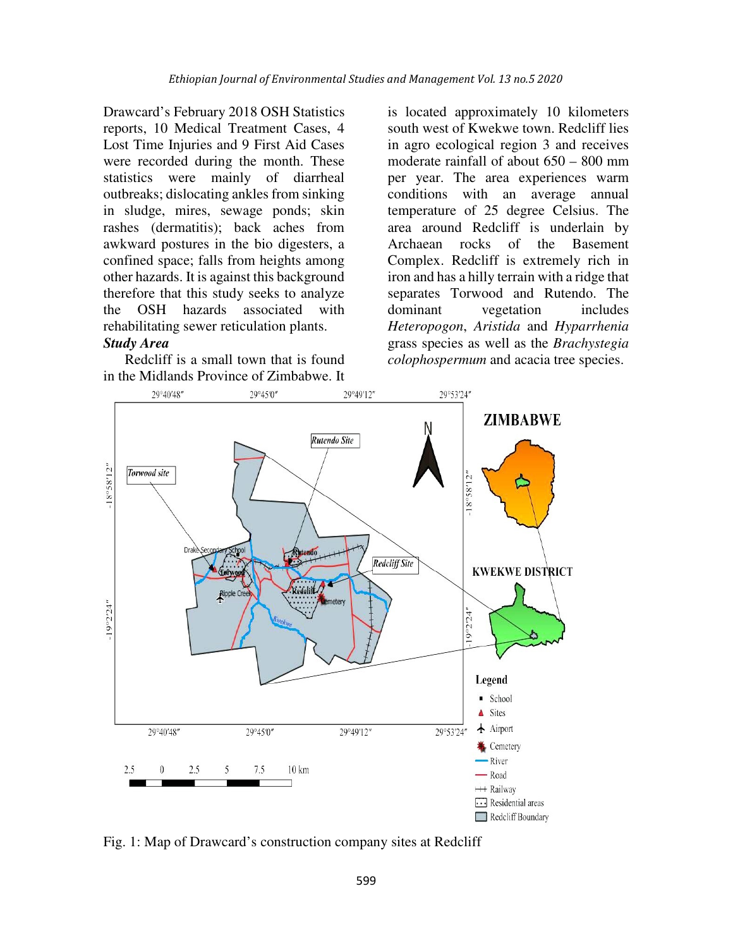Drawcard's February 2018 OSH Statistics reports, 10 Medical Treatment Cases, 4 Lost Time Injuries and 9 First Aid Cases were recorded during the month. These statistics were mainly of diarrheal outbreaks; dislocating ankles from sinking in sludge, mires, sewage ponds; skin rashes (dermatitis); back aches from awkward postures in the bio digesters, a confined space; falls from heights among other hazards. It is against this background therefore that this study seeks to analyze the OSH hazards associated with rehabilitating sewer reticulation plants.

### *Study Area*

Redcliff is a small town that is found in the Midlands Province of Zimbabwe. It is located approximately 10 kilometers south west of Kwekwe town. Redcliff lies in agro ecological region 3 and receives moderate rainfall of about 650 – 800 mm per year. The area experiences warm conditions with an average annual temperature of 25 degree Celsius. The area around Redcliff is underlain by Archaean rocks of the Basement Complex. Redcliff is extremely rich in iron and has a hilly terrain with a ridge that separates Torwood and Rutendo. The dominant vegetation includes *Heteropogon*, *Aristida* and *Hyparrhenia* grass species as well as the *Brachystegia colophospermum* and acacia tree species.



Fig. 1: Map of Drawcard's construction company sites at Redcliff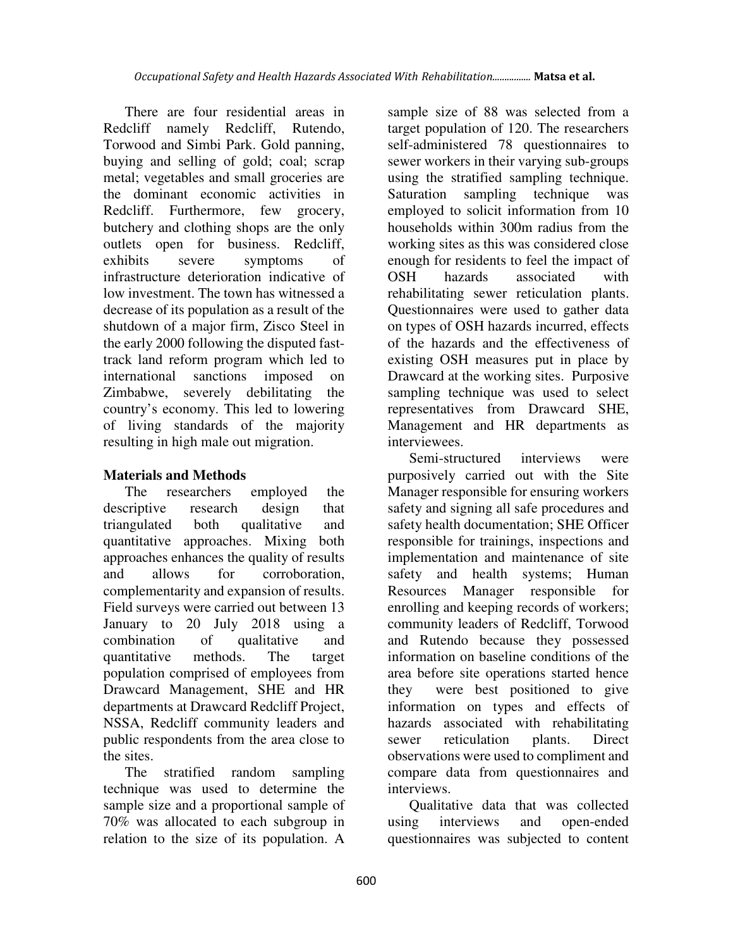There are four residential areas in Redcliff namely Redcliff, Rutendo, Torwood and Simbi Park. Gold panning, buying and selling of gold; coal; scrap metal; vegetables and small groceries are the dominant economic activities in Redcliff. Furthermore, few grocery, butchery and clothing shops are the only outlets open for business. Redcliff, exhibits severe symptoms of infrastructure deterioration indicative of low investment. The town has witnessed a decrease of its population as a result of the shutdown of a major firm, Zisco Steel in the early 2000 following the disputed fasttrack land reform program which led to international sanctions imposed on Zimbabwe, severely debilitating the country's economy. This led to lowering of living standards of the majority resulting in high male out migration.

# **Materials and Methods**

The researchers employed the descriptive research design that triangulated both qualitative and quantitative approaches. Mixing both approaches enhances the quality of results and allows for corroboration, complementarity and expansion of results. Field surveys were carried out between 13 January to 20 July 2018 using a combination of qualitative and quantitative methods. The target population comprised of employees from Drawcard Management, SHE and HR departments at Drawcard Redcliff Project, NSSA, Redcliff community leaders and public respondents from the area close to the sites.

The stratified random sampling technique was used to determine the sample size and a proportional sample of 70% was allocated to each subgroup in relation to the size of its population. A

sample size of 88 was selected from a target population of 120. The researchers self-administered 78 questionnaires to sewer workers in their varying sub-groups using the stratified sampling technique. Saturation sampling technique was employed to solicit information from 10 households within 300m radius from the working sites as this was considered close enough for residents to feel the impact of OSH hazards associated with rehabilitating sewer reticulation plants. Questionnaires were used to gather data on types of OSH hazards incurred, effects of the hazards and the effectiveness of existing OSH measures put in place by Drawcard at the working sites. Purposive sampling technique was used to select representatives from Drawcard SHE, Management and HR departments as interviewees.

Semi-structured interviews were purposively carried out with the Site Manager responsible for ensuring workers safety and signing all safe procedures and safety health documentation; SHE Officer responsible for trainings, inspections and implementation and maintenance of site safety and health systems; Human Resources Manager responsible for enrolling and keeping records of workers; community leaders of Redcliff, Torwood and Rutendo because they possessed information on baseline conditions of the area before site operations started hence they were best positioned to give information on types and effects of hazards associated with rehabilitating sewer reticulation plants. Direct observations were used to compliment and compare data from questionnaires and interviews.

Qualitative data that was collected using interviews and open-ended questionnaires was subjected to content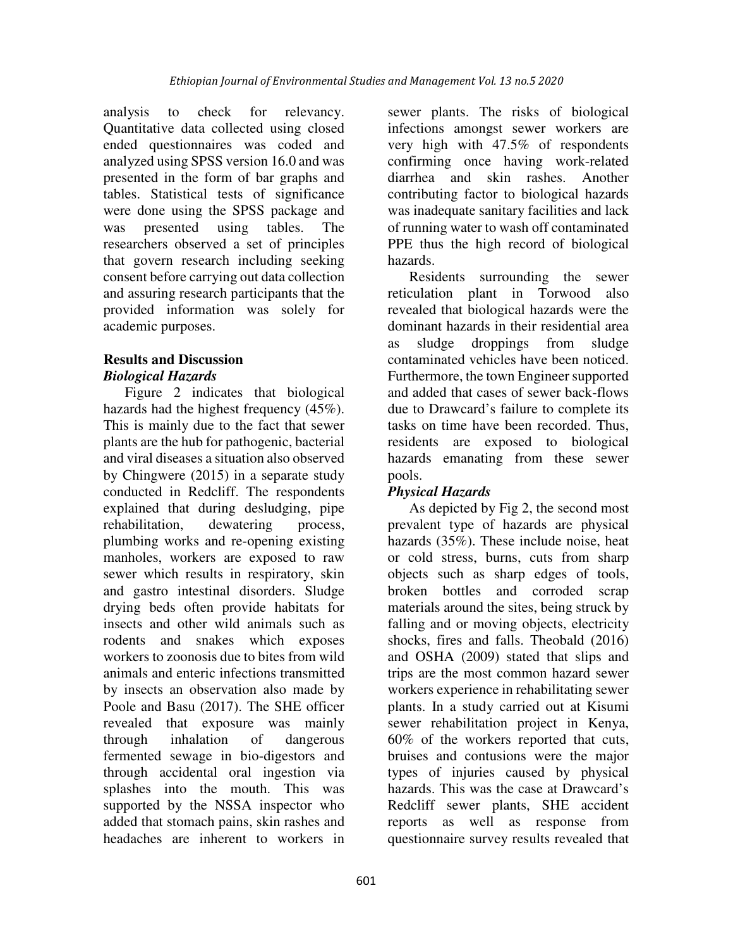analysis to check for relevancy. Quantitative data collected using closed ended questionnaires was coded and analyzed using SPSS version 16.0 and was presented in the form of bar graphs and tables. Statistical tests of significance were done using the SPSS package and was presented using tables. The researchers observed a set of principles that govern research including seeking consent before carrying out data collection and assuring research participants that the provided information was solely for academic purposes.

## **Results and Discussion**  *Biological Hazards*

Figure 2 indicates that biological hazards had the highest frequency (45%). This is mainly due to the fact that sewer plants are the hub for pathogenic, bacterial and viral diseases a situation also observed by Chingwere (2015) in a separate study conducted in Redcliff. The respondents explained that during desludging, pipe rehabilitation, dewatering process, plumbing works and re-opening existing manholes, workers are exposed to raw sewer which results in respiratory, skin and gastro intestinal disorders. Sludge drying beds often provide habitats for insects and other wild animals such as rodents and snakes which exposes workers to zoonosis due to bites from wild animals and enteric infections transmitted by insects an observation also made by Poole and Basu (2017). The SHE officer revealed that exposure was mainly through inhalation of dangerous fermented sewage in bio-digestors and through accidental oral ingestion via splashes into the mouth. This was supported by the NSSA inspector who added that stomach pains, skin rashes and headaches are inherent to workers in

sewer plants. The risks of biological infections amongst sewer workers are very high with 47.5% of respondents confirming once having work-related diarrhea and skin rashes. Another contributing factor to biological hazards was inadequate sanitary facilities and lack of running water to wash off contaminated PPE thus the high record of biological hazards.

Residents surrounding the sewer reticulation plant in Torwood also revealed that biological hazards were the dominant hazards in their residential area as sludge droppings from sludge contaminated vehicles have been noticed. Furthermore, the town Engineer supported and added that cases of sewer back-flows due to Drawcard's failure to complete its tasks on time have been recorded. Thus, residents are exposed to biological hazards emanating from these sewer pools.

# *Physical Hazards*

As depicted by Fig 2, the second most prevalent type of hazards are physical hazards (35%). These include noise, heat or cold stress, burns, cuts from sharp objects such as sharp edges of tools, broken bottles and corroded scrap materials around the sites, being struck by falling and or moving objects, electricity shocks, fires and falls. Theobald (2016) and OSHA (2009) stated that slips and trips are the most common hazard sewer workers experience in rehabilitating sewer plants. In a study carried out at Kisumi sewer rehabilitation project in Kenya, 60% of the workers reported that cuts, bruises and contusions were the major types of injuries caused by physical hazards. This was the case at Drawcard's Redcliff sewer plants, SHE accident reports as well as response from questionnaire survey results revealed that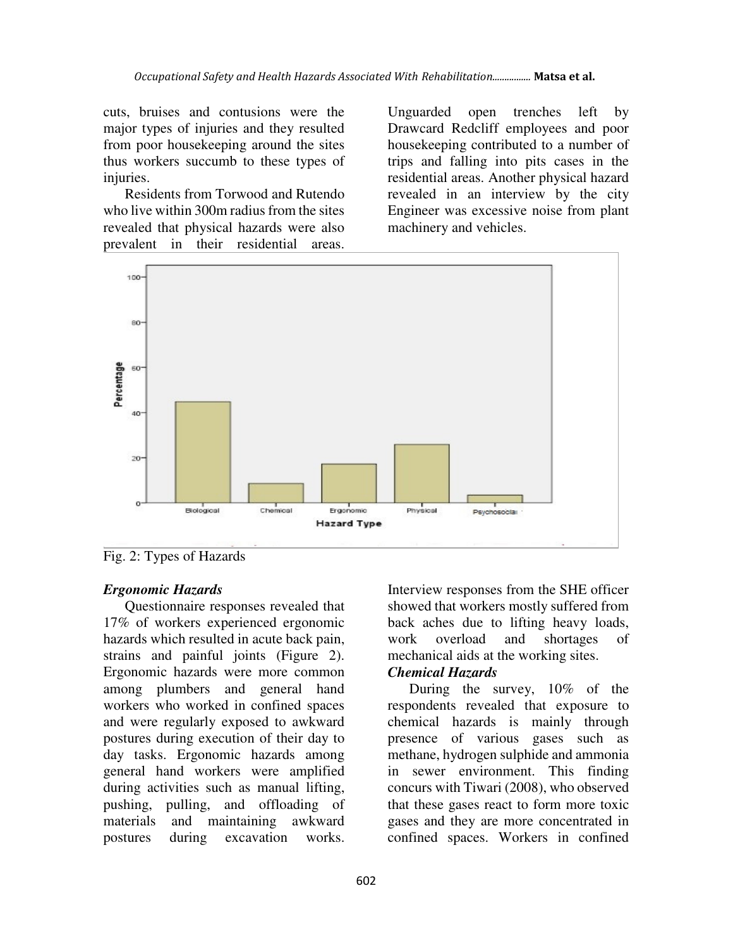cuts, bruises and contusions were the major types of injuries and they resulted from poor housekeeping around the sites thus workers succumb to these types of injuries.

Residents from Torwood and Rutendo who live within 300m radius from the sites revealed that physical hazards were also prevalent in their residential areas.

Unguarded open trenches left by Drawcard Redcliff employees and poor housekeeping contributed to a number of trips and falling into pits cases in the residential areas. Another physical hazard revealed in an interview by the city Engineer was excessive noise from plant machinery and vehicles.



Fig. 2: Types of Hazards

# *Ergonomic Hazards*

Questionnaire responses revealed that 17% of workers experienced ergonomic hazards which resulted in acute back pain, strains and painful joints (Figure 2). Ergonomic hazards were more common among plumbers and general hand workers who worked in confined spaces and were regularly exposed to awkward postures during execution of their day to day tasks. Ergonomic hazards among general hand workers were amplified during activities such as manual lifting, pushing, pulling, and offloading of materials and maintaining awkward postures during excavation works.

Interview responses from the SHE officer showed that workers mostly suffered from back aches due to lifting heavy loads, work overload and shortages of mechanical aids at the working sites.

## *Chemical Hazards*

During the survey, 10% of the respondents revealed that exposure to chemical hazards is mainly through presence of various gases such as methane, hydrogen sulphide and ammonia in sewer environment. This finding concurs with Tiwari (2008), who observed that these gases react to form more toxic gases and they are more concentrated in confined spaces. Workers in confined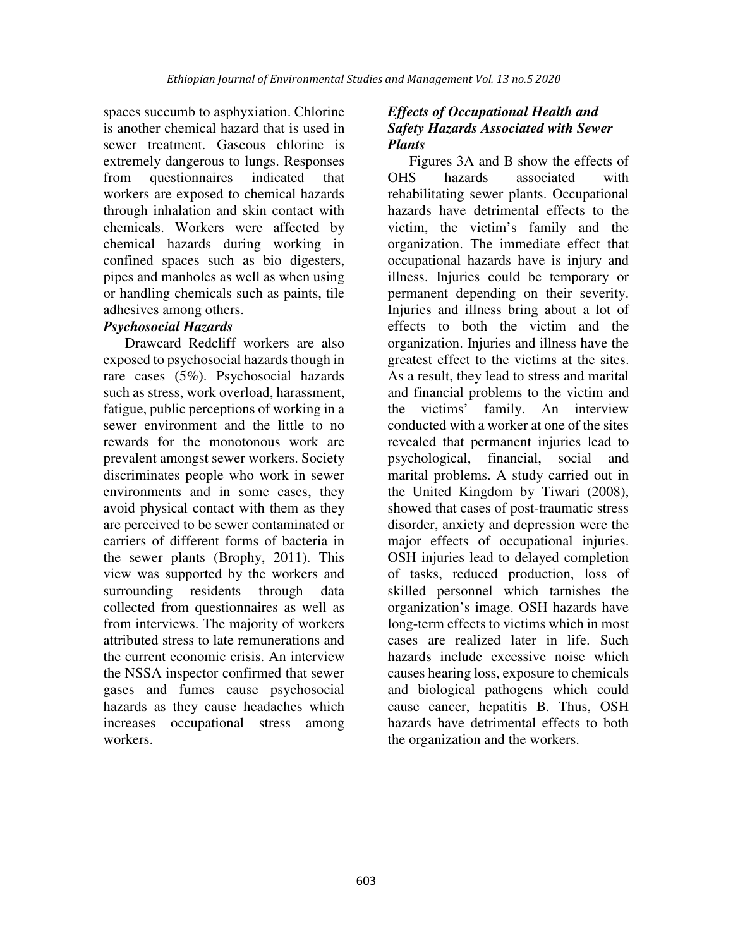spaces succumb to asphyxiation. Chlorine is another chemical hazard that is used in sewer treatment. Gaseous chlorine is extremely dangerous to lungs. Responses from questionnaires indicated that workers are exposed to chemical hazards through inhalation and skin contact with chemicals. Workers were affected by chemical hazards during working in confined spaces such as bio digesters, pipes and manholes as well as when using or handling chemicals such as paints, tile adhesives among others.

## *Psychosocial Hazards*

Drawcard Redcliff workers are also exposed to psychosocial hazards though in rare cases (5%). Psychosocial hazards such as stress, work overload, harassment, fatigue, public perceptions of working in a sewer environment and the little to no rewards for the monotonous work are prevalent amongst sewer workers. Society discriminates people who work in sewer environments and in some cases, they avoid physical contact with them as they are perceived to be sewer contaminated or carriers of different forms of bacteria in the sewer plants (Brophy, 2011). This view was supported by the workers and surrounding residents through data collected from questionnaires as well as from interviews. The majority of workers attributed stress to late remunerations and the current economic crisis. An interview the NSSA inspector confirmed that sewer gases and fumes cause psychosocial hazards as they cause headaches which increases occupational stress among workers.

# *Effects of Occupational Health and Safety Hazards Associated with Sewer Plants*

Figures 3A and B show the effects of OHS hazards associated with rehabilitating sewer plants. Occupational hazards have detrimental effects to the victim, the victim's family and the organization. The immediate effect that occupational hazards have is injury and illness. Injuries could be temporary or permanent depending on their severity. Injuries and illness bring about a lot of effects to both the victim and the organization. Injuries and illness have the greatest effect to the victims at the sites. As a result, they lead to stress and marital and financial problems to the victim and the victims' family. An interview conducted with a worker at one of the sites revealed that permanent injuries lead to psychological, financial, social and marital problems. A study carried out in the United Kingdom by Tiwari (2008), showed that cases of post-traumatic stress disorder, anxiety and depression were the major effects of occupational injuries. OSH injuries lead to delayed completion of tasks, reduced production, loss of skilled personnel which tarnishes the organization's image. OSH hazards have long-term effects to victims which in most cases are realized later in life. Such hazards include excessive noise which causes hearing loss, exposure to chemicals and biological pathogens which could cause cancer, hepatitis B. Thus, OSH hazards have detrimental effects to both the organization and the workers.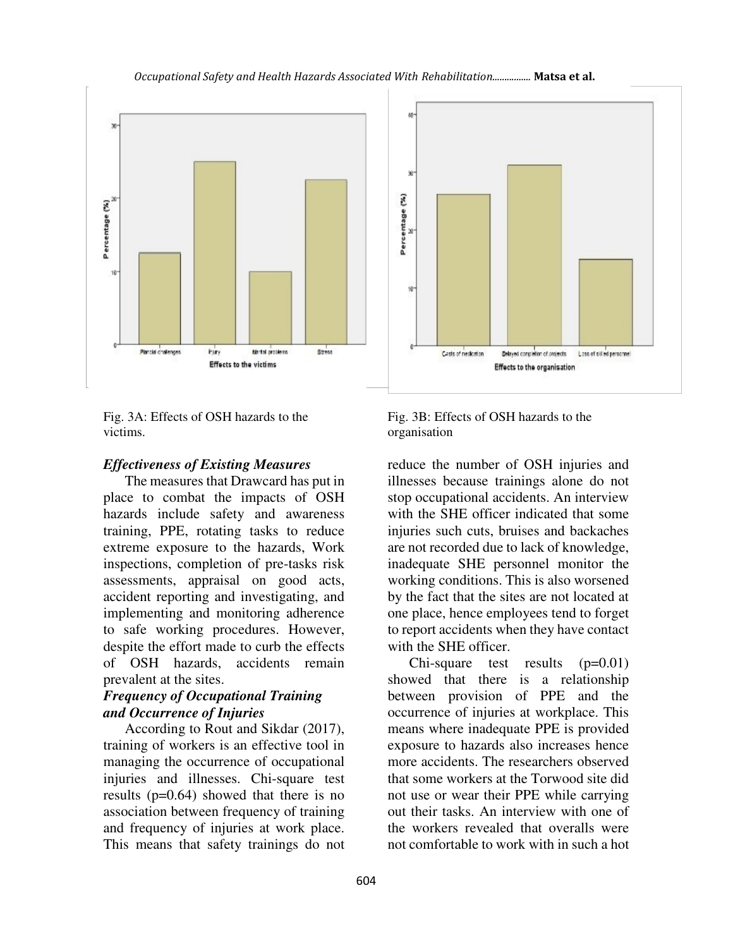

Fig. 3A: Effects of OSH hazards to the victims.

#### *Effectiveness of Existing Measures*

The measures that Drawcard has put in place to combat the impacts of OSH hazards include safety and awareness training, PPE, rotating tasks to reduce extreme exposure to the hazards, Work inspections, completion of pre-tasks risk assessments, appraisal on good acts, accident reporting and investigating, and implementing and monitoring adherence to safe working procedures. However, despite the effort made to curb the effects of OSH hazards, accidents remain prevalent at the sites.

## *Frequency of Occupational Training and Occurrence of Injuries*

According to Rout and Sikdar (2017), training of workers is an effective tool in managing the occurrence of occupational injuries and illnesses. Chi-square test results (p=0.64) showed that there is no association between frequency of training and frequency of injuries at work place. This means that safety trainings do not

Fig. 3B: Effects of OSH hazards to the organisation

reduce the number of OSH injuries and illnesses because trainings alone do not stop occupational accidents. An interview with the SHE officer indicated that some injuries such cuts, bruises and backaches are not recorded due to lack of knowledge, inadequate SHE personnel monitor the working conditions. This is also worsened by the fact that the sites are not located at one place, hence employees tend to forget to report accidents when they have contact with the SHE officer.

Chi-square test results  $(p=0.01)$ showed that there is a relationship between provision of PPE and the occurrence of injuries at workplace. This means where inadequate PPE is provided exposure to hazards also increases hence more accidents. The researchers observed that some workers at the Torwood site did not use or wear their PPE while carrying out their tasks. An interview with one of the workers revealed that overalls were not comfortable to work with in such a hot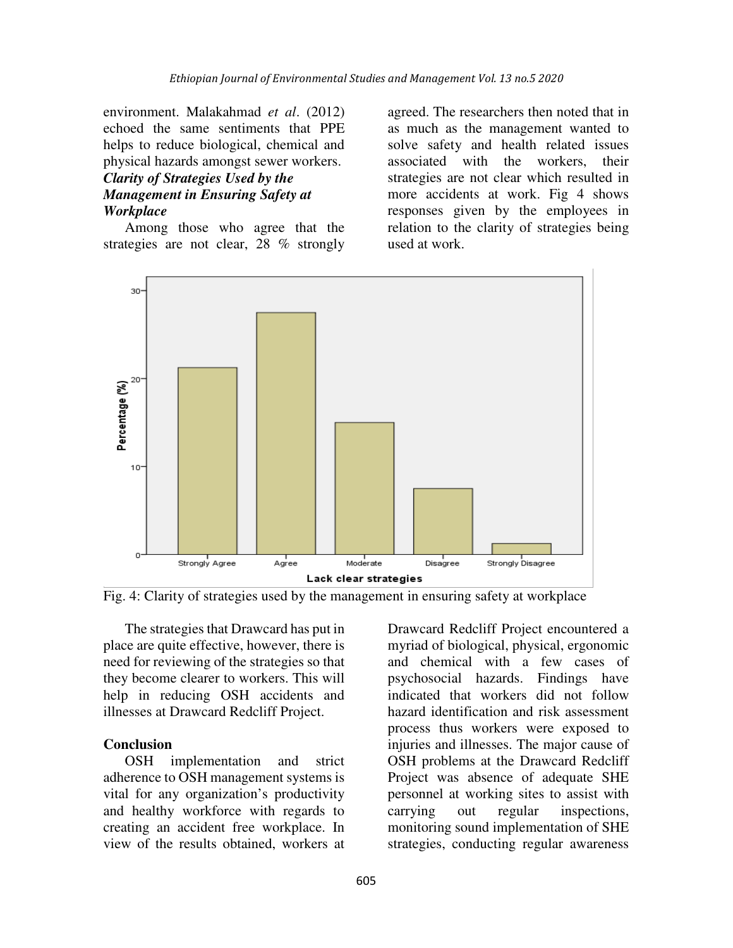environment. Malakahmad *et al*. (2012) echoed the same sentiments that PPE helps to reduce biological, chemical and physical hazards amongst sewer workers.

# *Clarity of Strategies Used by the Management in Ensuring Safety at Workplace*

Among those who agree that the strategies are not clear, 28 % strongly agreed. The researchers then noted that in as much as the management wanted to solve safety and health related issues associated with the workers, their strategies are not clear which resulted in more accidents at work. Fig 4 shows responses given by the employees in relation to the clarity of strategies being used at work.





The strategies that Drawcard has put in place are quite effective, however, there is need for reviewing of the strategies so that they become clearer to workers. This will help in reducing OSH accidents and illnesses at Drawcard Redcliff Project.

#### **Conclusion**

OSH implementation and strict adherence to OSH management systems is vital for any organization's productivity and healthy workforce with regards to creating an accident free workplace. In view of the results obtained, workers at

Drawcard Redcliff Project encountered a myriad of biological, physical, ergonomic and chemical with a few cases of psychosocial hazards. Findings have indicated that workers did not follow hazard identification and risk assessment process thus workers were exposed to injuries and illnesses. The major cause of OSH problems at the Drawcard Redcliff Project was absence of adequate SHE personnel at working sites to assist with carrying out regular inspections, monitoring sound implementation of SHE strategies, conducting regular awareness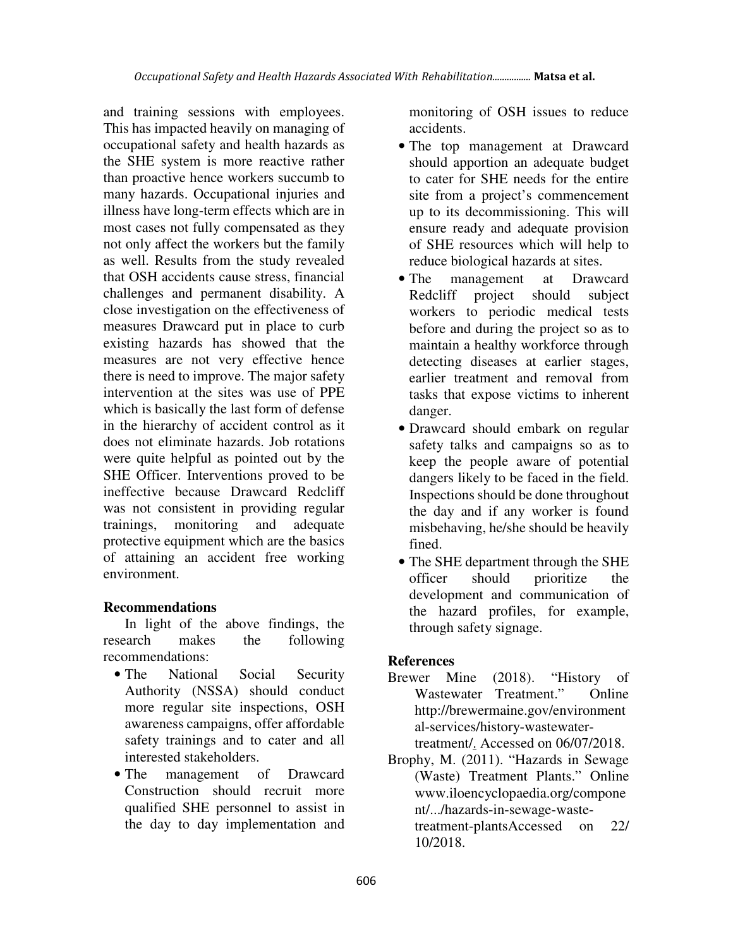and training sessions with employees. This has impacted heavily on managing of occupational safety and health hazards as the SHE system is more reactive rather than proactive hence workers succumb to many hazards. Occupational injuries and illness have long-term effects which are in most cases not fully compensated as they not only affect the workers but the family as well. Results from the study revealed that OSH accidents cause stress, financial challenges and permanent disability. A close investigation on the effectiveness of measures Drawcard put in place to curb existing hazards has showed that the measures are not very effective hence there is need to improve. The major safety intervention at the sites was use of PPE which is basically the last form of defense in the hierarchy of accident control as it does not eliminate hazards. Job rotations were quite helpful as pointed out by the SHE Officer. Interventions proved to be ineffective because Drawcard Redcliff was not consistent in providing regular trainings, monitoring and adequate protective equipment which are the basics of attaining an accident free working environment.

# **Recommendations**

In light of the above findings, the research makes the following recommendations:

- The National Social Security Authority (NSSA) should conduct more regular site inspections, OSH awareness campaigns, offer affordable safety trainings and to cater and all interested stakeholders.
- The management of Drawcard Construction should recruit more qualified SHE personnel to assist in the day to day implementation and

monitoring of OSH issues to reduce accidents.

- The top management at Drawcard should apportion an adequate budget to cater for SHE needs for the entire site from a project's commencement up to its decommissioning. This will ensure ready and adequate provision of SHE resources which will help to reduce biological hazards at sites.
- The management at Drawcard Redcliff project should subject workers to periodic medical tests before and during the project so as to maintain a healthy workforce through detecting diseases at earlier stages, earlier treatment and removal from tasks that expose victims to inherent danger.
- Drawcard should embark on regular safety talks and campaigns so as to keep the people aware of potential dangers likely to be faced in the field. Inspections should be done throughout the day and if any worker is found misbehaving, he/she should be heavily fined.
- The SHE department through the SHE officer should prioritize the development and communication of the hazard profiles, for example, through safety signage.

# **References**

- Brewer Mine (2018). "History of Wastewater Treatment." Online http://brewermaine.gov/environment al-services/history-wastewatertreatment/. Accessed on 06/07/2018.
- Brophy, M. (2011). "Hazards in Sewage (Waste) Treatment Plants." Online www.iloencyclopaedia.org/compone nt/.../hazards-in-sewage-wastetreatment-plantsAccessed on 22/ 10/2018.